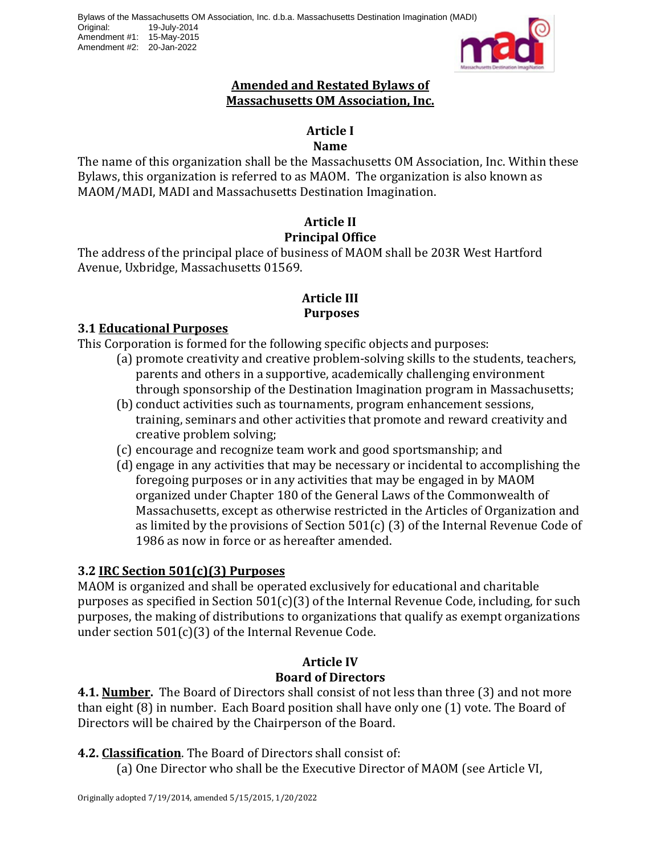

#### **Amended and Restated Bylaws of Massachusetts OM Association, Inc.**

#### **Article I**

#### **Name**

The name of this organization shall be the Massachusetts OM Association, Inc. Within these Bylaws, this organization is referred to as MAOM. The organization is also known as MAOM/MADI, MADI and Massachusetts Destination Imagination.

# **Article II Principal Office**

The address of the principal place of business of MAOM shall be 203R West Hartford Avenue, Uxbridge, Massachusetts 01569.

# **Article III Purposes**

#### **3.1 Educational Purposes**

This Corporation is formed for the following specific objects and purposes:

- (a) promote creativity and creative problem-solving skills to the students, teachers, parents and others in a supportive, academically challenging environment through sponsorship of the Destination Imagination program in Massachusetts;
- (b) conduct activities such as tournaments, program enhancement sessions, training, seminars and other activities that promote and reward creativity and creative problem solving;
- (c) encourage and recognize team work and good sportsmanship; and
- (d) engage in any activities that may be necessary or incidental to accomplishing the foregoing purposes or in any activities that may be engaged in by MAOM organized under Chapter 180 of the General Laws of the Commonwealth of Massachusetts, except as otherwise restricted in the Articles of Organization and as limited by the provisions of Section 501(c) (3) of the Internal Revenue Code of 1986 as now in force or as hereafter amended.

## **3.2 IRC Section 501(c)(3) Purposes**

MAOM is organized and shall be operated exclusively for educational and charitable purposes as specified in Section 501(c)(3) of the Internal Revenue Code, including, for such purposes, the making of distributions to organizations that qualify as exempt organizations under section 501(c)(3) of the Internal Revenue Code.

## **Article IV Board of Directors**

**4.1. Number.** The Board of Directors shall consist of not less than three (3) and not more than eight (8) in number. Each Board position shall have only one (1) vote. The Board of Directors will be chaired by the Chairperson of the Board.

## **4.2. Classification**. The Board of Directors shall consist of:

(a) One Director who shall be the Executive Director of MAOM (see Article VI,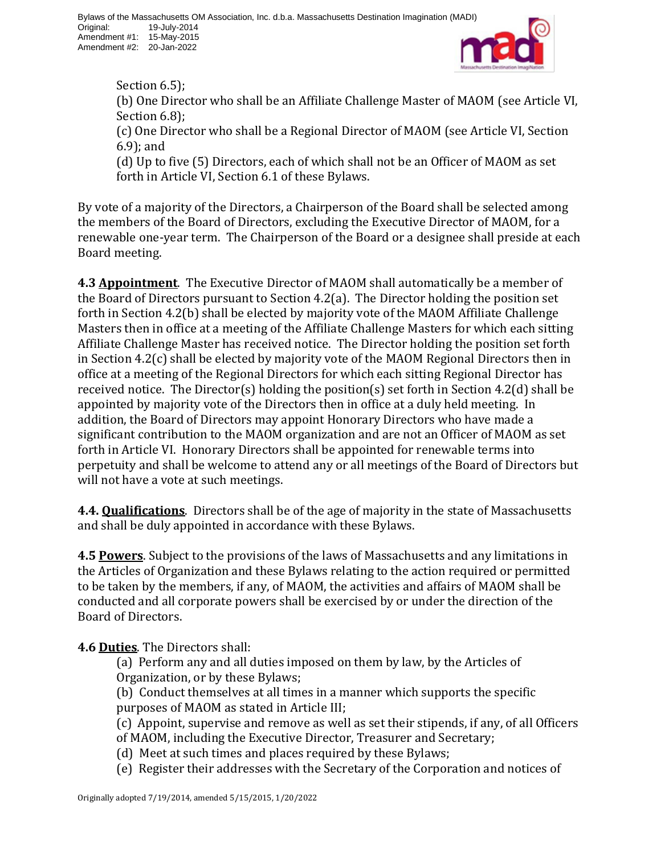

Section 6.5): (b) One Director who shall be an Affiliate Challenge Master of MAOM (see Article VI, Section 6.8); (c) One Director who shall be a Regional Director of MAOM (see Article VI, Section 6.9); and

(d) Up to five (5) Directors, each of which shall not be an Officer of MAOM as set forth in Article VI, Section 6.1 of these Bylaws.

By vote of a majority of the Directors, a Chairperson of the Board shall be selected among the members of the Board of Directors, excluding the Executive Director of MAOM, for a renewable one-year term. The Chairperson of the Board or a designee shall preside at each Board meeting.

**4.3 Appointment**. The Executive Director of MAOM shall automatically be a member of the Board of Directors pursuant to Section 4.2(a). The Director holding the position set forth in Section 4.2(b) shall be elected by majority vote of the MAOM Affiliate Challenge Masters then in office at a meeting of the Affiliate Challenge Masters for which each sitting Affiliate Challenge Master has received notice. The Director holding the position set forth in Section 4.2(c) shall be elected by majority vote of the MAOM Regional Directors then in office at a meeting of the Regional Directors for which each sitting Regional Director has received notice. The Director(s) holding the position(s) set forth in Section 4.2(d) shall be appointed by majority vote of the Directors then in office at a duly held meeting. In addition, the Board of Directors may appoint Honorary Directors who have made a significant contribution to the MAOM organization and are not an Officer of MAOM as set forth in Article VI. Honorary Directors shall be appointed for renewable terms into perpetuity and shall be welcome to attend any or all meetings of the Board of Directors but will not have a vote at such meetings.

**4.4. Qualifications**. Directors shall be of the age of majority in the state of Massachusetts and shall be duly appointed in accordance with these Bylaws.

**4.5 Powers**. Subject to the provisions of the laws of Massachusetts and any limitations in the Articles of Organization and these Bylaws relating to the action required or permitted to be taken by the members, if any, of MAOM, the activities and affairs of MAOM shall be conducted and all corporate powers shall be exercised by or under the direction of the Board of Directors.

**4.6 Duties**. The Directors shall:

(a) Perform any and all duties imposed on them by law, by the Articles of Organization, or by these Bylaws;

(b) Conduct themselves at all times in a manner which supports the specific purposes of MAOM as stated in Article III;

- (c) Appoint, supervise and remove as well as set their stipends, if any, of all Officers of MAOM, including the Executive Director, Treasurer and Secretary;
- (d) Meet at such times and places required by these Bylaws;
- (e) Register their addresses with the Secretary of the Corporation and notices of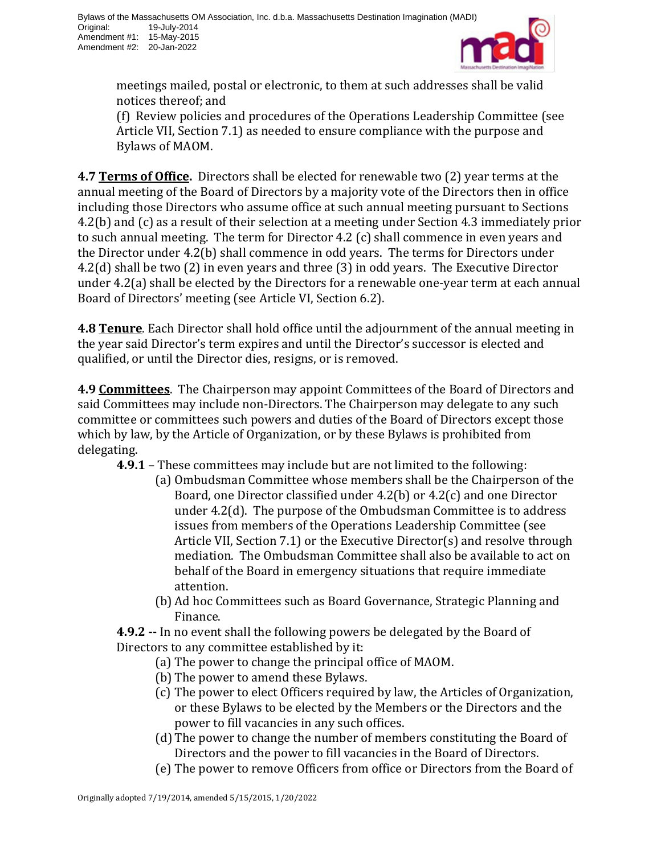

meetings mailed, postal or electronic, to them at such addresses shall be valid notices thereof; and

(f) Review policies and procedures of the Operations Leadership Committee (see Article VII, Section 7.1) as needed to ensure compliance with the purpose and Bylaws of MAOM.

**4.7 Terms of Office.** Directors shall be elected for renewable two (2) year terms at the annual meeting of the Board of Directors by a majority vote of the Directors then in office including those Directors who assume office at such annual meeting pursuant to Sections 4.2(b) and (c) as a result of their selection at a meeting under Section 4.3 immediately prior to such annual meeting. The term for Director 4.2 (c) shall commence in even years and the Director under 4.2(b) shall commence in odd years. The terms for Directors under 4.2(d) shall be two (2) in even years and three (3) in odd years. The Executive Director under 4.2(a) shall be elected by the Directors for a renewable one-year term at each annual Board of Directors' meeting (see Article VI, Section 6.2).

**4.8 Tenure**. Each Director shall hold office until the adjournment of the annual meeting in the year said Director's term expires and until the Director's successor is elected and qualified, or until the Director dies, resigns, or is removed.

**4.9 Committees**. The Chairperson may appoint Committees of the Board of Directors and said Committees may include non-Directors. The Chairperson may delegate to any such committee or committees such powers and duties of the Board of Directors except those which by law, by the Article of Organization, or by these Bylaws is prohibited from delegating.

**4.9.1** – These committees may include but are not limited to the following:

- (a) Ombudsman Committee whose members shall be the Chairperson of the Board, one Director classified under 4.2(b) or 4.2(c) and one Director under 4.2(d). The purpose of the Ombudsman Committee is to address issues from members of the Operations Leadership Committee (see Article VII, Section 7.1) or the Executive Director(s) and resolve through mediation. The Ombudsman Committee shall also be available to act on behalf of the Board in emergency situations that require immediate attention.
- (b) Ad hoc Committees such as Board Governance, Strategic Planning and Finance.

**4.9.2 --** In no event shall the following powers be delegated by the Board of Directors to any committee established by it:

- (a) The power to change the principal office of MAOM.
- (b) The power to amend these Bylaws.
- (c) The power to elect Officers required by law, the Articles of Organization, or these Bylaws to be elected by the Members or the Directors and the power to fill vacancies in any such offices.
- (d) The power to change the number of members constituting the Board of Directors and the power to fill vacancies in the Board of Directors.
- (e) The power to remove Officers from office or Directors from the Board of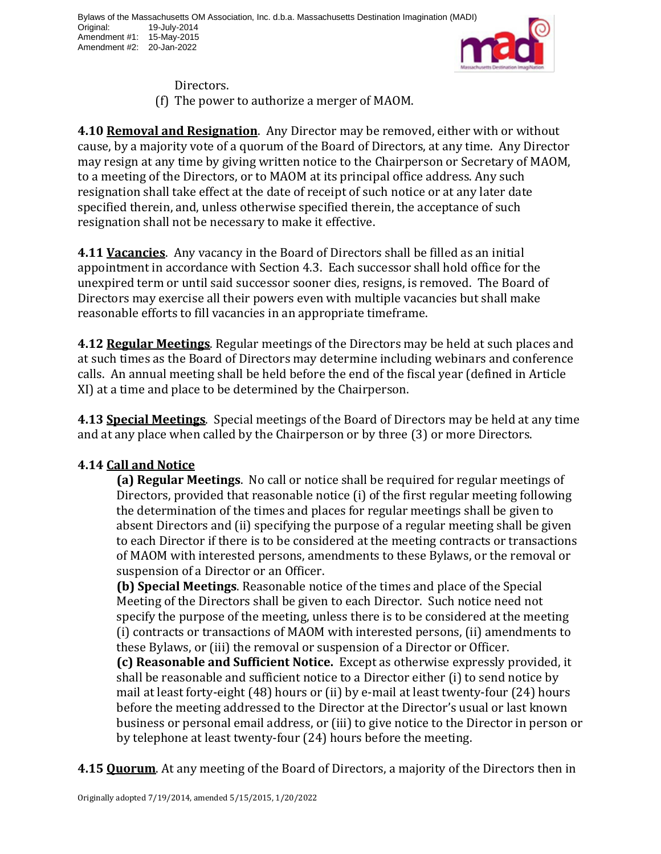

- Directors.
- (f) The power to authorize a merger of MAOM.

**4.10 Removal and Resignation**. Any Director may be removed, either with or without cause, by a majority vote of a quorum of the Board of Directors, at any time. Any Director may resign at any time by giving written notice to the Chairperson or Secretary of MAOM, to a meeting of the Directors, or to MAOM at its principal office address. Any such resignation shall take effect at the date of receipt of such notice or at any later date specified therein, and, unless otherwise specified therein, the acceptance of such resignation shall not be necessary to make it effective.

**4.11 Vacancies**. Any vacancy in the Board of Directors shall be filled as an initial appointment in accordance with Section 4.3. Each successor shall hold office for the unexpired term or until said successor sooner dies, resigns, is removed. The Board of Directors may exercise all their powers even with multiple vacancies but shall make reasonable efforts to fill vacancies in an appropriate timeframe.

**4.12 Regular Meetings**. Regular meetings of the Directors may be held at such places and at such times as the Board of Directors may determine including webinars and conference calls. An annual meeting shall be held before the end of the fiscal year (defined in Article XI) at a time and place to be determined by the Chairperson.

**4.13 Special Meetings**. Special meetings of the Board of Directors may be held at any time and at any place when called by the Chairperson or by three (3) or more Directors.

## **4.14 Call and Notice**

**(a) Regular Meetings**. No call or notice shall be required for regular meetings of Directors, provided that reasonable notice (i) of the first regular meeting following the determination of the times and places for regular meetings shall be given to absent Directors and (ii) specifying the purpose of a regular meeting shall be given to each Director if there is to be considered at the meeting contracts or transactions of MAOM with interested persons, amendments to these Bylaws, or the removal or suspension of a Director or an Officer.

**(b) Special Meetings**. Reasonable notice of the times and place of the Special Meeting of the Directors shall be given to each Director. Such notice need not specify the purpose of the meeting, unless there is to be considered at the meeting (i) contracts or transactions of MAOM with interested persons, (ii) amendments to these Bylaws, or (iii) the removal or suspension of a Director or Officer.

**(c) Reasonable and Sufficient Notice.** Except as otherwise expressly provided, it shall be reasonable and sufficient notice to a Director either (i) to send notice by mail at least forty-eight (48) hours or (ii) by e-mail at least twenty-four (24) hours before the meeting addressed to the Director at the Director's usual or last known business or personal email address, or (iii) to give notice to the Director in person or by telephone at least twenty-four (24) hours before the meeting.

**4.15 Quorum**. At any meeting of the Board of Directors, a majority of the Directors then in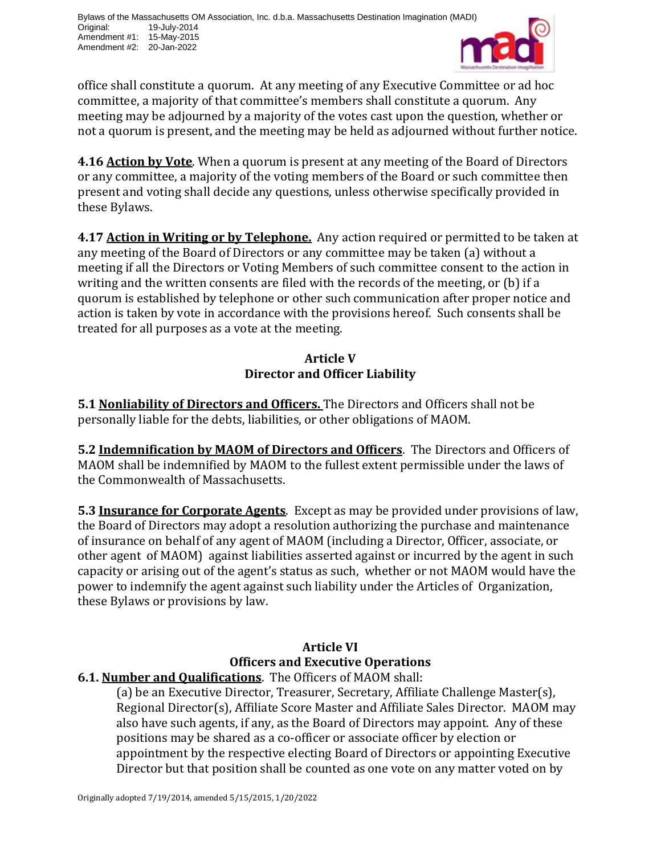

office shall constitute a quorum. At any meeting of any Executive Committee or ad hoc committee, a majority of that committee's members shall constitute a quorum. Any meeting may be adjourned by a majority of the votes cast upon the question, whether or not a quorum is present, and the meeting may be held as adjourned without further notice.

**4.16 Action by Vote**. When a quorum is present at any meeting of the Board of Directors or any committee, a majority of the voting members of the Board or such committee then present and voting shall decide any questions, unless otherwise specifically provided in these Bylaws.

**4.17 Action in Writing or by Telephone.** Any action required or permitted to be taken at any meeting of the Board of Directors or any committee may be taken (a) without a meeting if all the Directors or Voting Members of such committee consent to the action in writing and the written consents are filed with the records of the meeting, or (b) if a quorum is established by telephone or other such communication after proper notice and action is taken by vote in accordance with the provisions hereof. Such consents shall be treated for all purposes as a vote at the meeting.

# **Article V Director and Officer Liability**

**5.1 Nonliability of Directors and Officers.** The Directors and Officers shall not be personally liable for the debts, liabilities, or other obligations of MAOM.

**5.2 Indemnification by MAOM of Directors and Officers**. The Directors and Officers of MAOM shall be indemnified by MAOM to the fullest extent permissible under the laws of the Commonwealth of Massachusetts.

**5.3 Insurance for Corporate Agents**. Except as may be provided under provisions of law, the Board of Directors may adopt a resolution authorizing the purchase and maintenance of insurance on behalf of any agent of MAOM (including a Director, Officer, associate, or other agent of MAOM) against liabilities asserted against or incurred by the agent in such capacity or arising out of the agent's status as such, whether or not MAOM would have the power to indemnify the agent against such liability under the Articles of Organization, these Bylaws or provisions by law.

# **Article VI Officers and Executive Operations**

# **6.1. Number and Qualifications**. The Officers of MAOM shall:

(a) be an Executive Director, Treasurer, Secretary, Affiliate Challenge Master(s), Regional Director(s), Affiliate Score Master and Affiliate Sales Director. MAOM may also have such agents, if any, as the Board of Directors may appoint. Any of these positions may be shared as a co-officer or associate officer by election or appointment by the respective electing Board of Directors or appointing Executive Director but that position shall be counted as one vote on any matter voted on by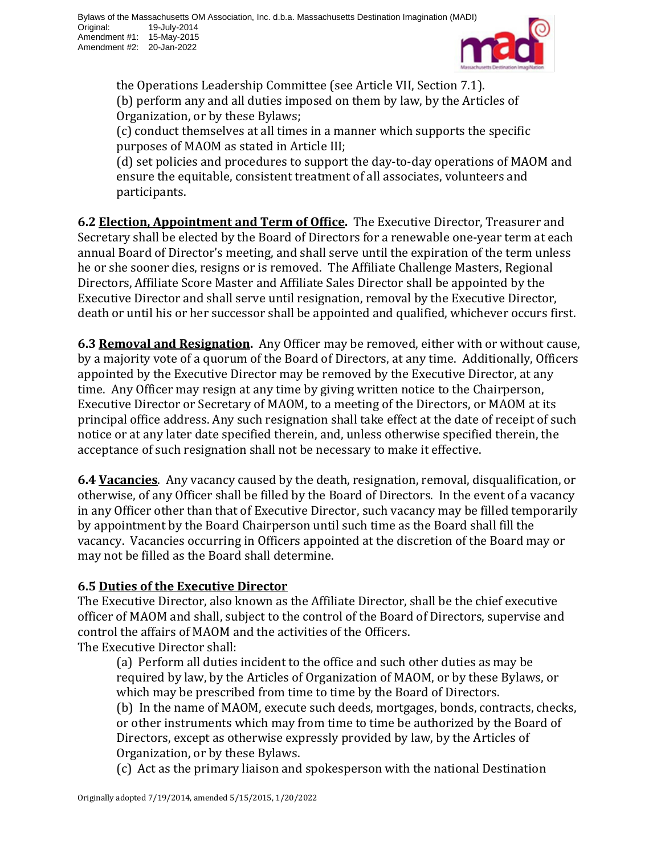

the Operations Leadership Committee (see Article VII, Section 7.1). (b) perform any and all duties imposed on them by law, by the Articles of Organization, or by these Bylaws;

(c) conduct themselves at all times in a manner which supports the specific purposes of MAOM as stated in Article III;

(d) set policies and procedures to support the day-to-day operations of MAOM and ensure the equitable, consistent treatment of all associates, volunteers and participants.

**6.2 Election, Appointment and Term of Office.** The Executive Director, Treasurer and Secretary shall be elected by the Board of Directors for a renewable one-year term at each annual Board of Director's meeting, and shall serve until the expiration of the term unless he or she sooner dies, resigns or is removed. The Affiliate Challenge Masters, Regional Directors, Affiliate Score Master and Affiliate Sales Director shall be appointed by the Executive Director and shall serve until resignation, removal by the Executive Director, death or until his or her successor shall be appointed and qualified, whichever occurs first.

**6.3 Removal and Resignation.** Any Officer may be removed, either with or without cause, by a majority vote of a quorum of the Board of Directors, at any time. Additionally, Officers appointed by the Executive Director may be removed by the Executive Director, at any time. Any Officer may resign at any time by giving written notice to the Chairperson, Executive Director or Secretary of MAOM, to a meeting of the Directors, or MAOM at its principal office address. Any such resignation shall take effect at the date of receipt of such notice or at any later date specified therein, and, unless otherwise specified therein, the acceptance of such resignation shall not be necessary to make it effective.

**6.4 Vacancies**. Any vacancy caused by the death, resignation, removal, disqualification, or otherwise, of any Officer shall be filled by the Board of Directors. In the event of a vacancy in any Officer other than that of Executive Director, such vacancy may be filled temporarily by appointment by the Board Chairperson until such time as the Board shall fill the vacancy. Vacancies occurring in Officers appointed at the discretion of the Board may or may not be filled as the Board shall determine.

## **6.5 Duties of the Executive Director**

The Executive Director, also known as the Affiliate Director, shall be the chief executive officer of MAOM and shall, subject to the control of the Board of Directors, supervise and control the affairs of MAOM and the activities of the Officers. The Executive Director shall:

(a) Perform all duties incident to the office and such other duties as may be required by law, by the Articles of Organization of MAOM, or by these Bylaws, or which may be prescribed from time to time by the Board of Directors.

(b) In the name of MAOM, execute such deeds, mortgages, bonds, contracts, checks, or other instruments which may from time to time be authorized by the Board of Directors, except as otherwise expressly provided by law, by the Articles of Organization, or by these Bylaws.

(c) Act as the primary liaison and spokesperson with the national Destination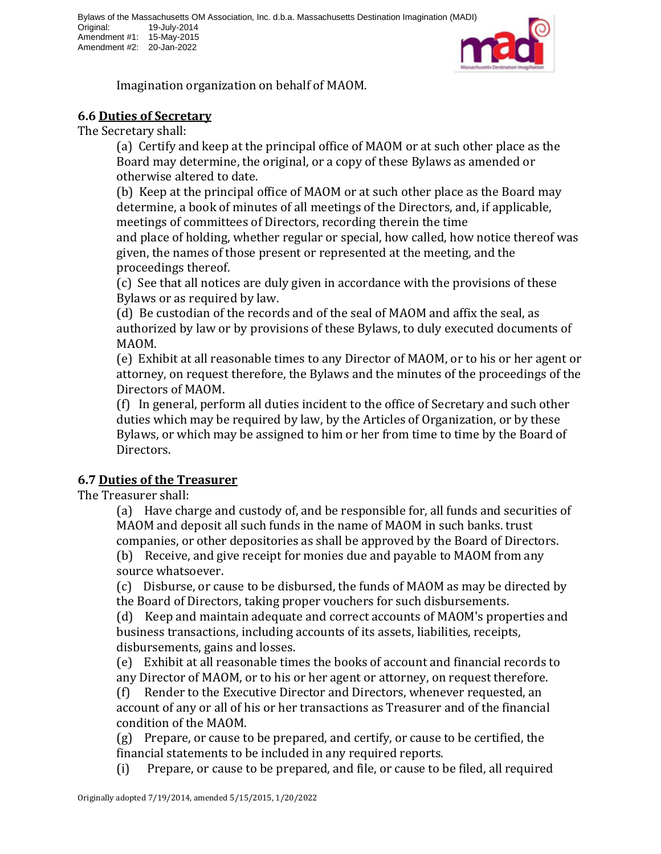

Imagination organization on behalf of MAOM.

#### **6.6 Duties of Secretary**

The Secretary shall:

(a) Certify and keep at the principal office of MAOM or at such other place as the Board may determine, the original, or a copy of these Bylaws as amended or otherwise altered to date.

(b) Keep at the principal office of MAOM or at such other place as the Board may determine, a book of minutes of all meetings of the Directors, and, if applicable, meetings of committees of Directors, recording therein the time

and place of holding, whether regular or special, how called, how notice thereof was given, the names of those present or represented at the meeting, and the proceedings thereof.

(c) See that all notices are duly given in accordance with the provisions of these Bylaws or as required by law.

(d) Be custodian of the records and of the seal of MAOM and affix the seal, as authorized by law or by provisions of these Bylaws, to duly executed documents of MAOM.

(e) Exhibit at all reasonable times to any Director of MAOM, or to his or her agent or attorney, on request therefore, the Bylaws and the minutes of the proceedings of the Directors of MAOM.

(f) In general, perform all duties incident to the office of Secretary and such other duties which may be required by law, by the Articles of Organization, or by these Bylaws, or which may be assigned to him or her from time to time by the Board of Directors.

## **6.7 Duties of the Treasurer**

The Treasurer shall:

(a) Have charge and custody of, and be responsible for, all funds and securities of MAOM and deposit all such funds in the name of MAOM in such banks. trust companies, or other depositories as shall be approved by the Board of Directors.

(b) Receive, and give receipt for monies due and payable to MAOM from any source whatsoever.

(c) Disburse, or cause to be disbursed, the funds of MAOM as may be directed by the Board of Directors, taking proper vouchers for such disbursements.

(d) Keep and maintain adequate and correct accounts of MAOM's properties and business transactions, including accounts of its assets, liabilities, receipts, disbursements, gains and losses.

(e) Exhibit at all reasonable times the books of account and financial records to any Director of MAOM, or to his or her agent or attorney, on request therefore.

(f) Render to the Executive Director and Directors, whenever requested, an account of any or all of his or her transactions as Treasurer and of the financial condition of the MAOM.

(g) Prepare, or cause to be prepared, and certify, or cause to be certified, the financial statements to be included in any required reports.

(i) Prepare, or cause to be prepared, and file, or cause to be filed, all required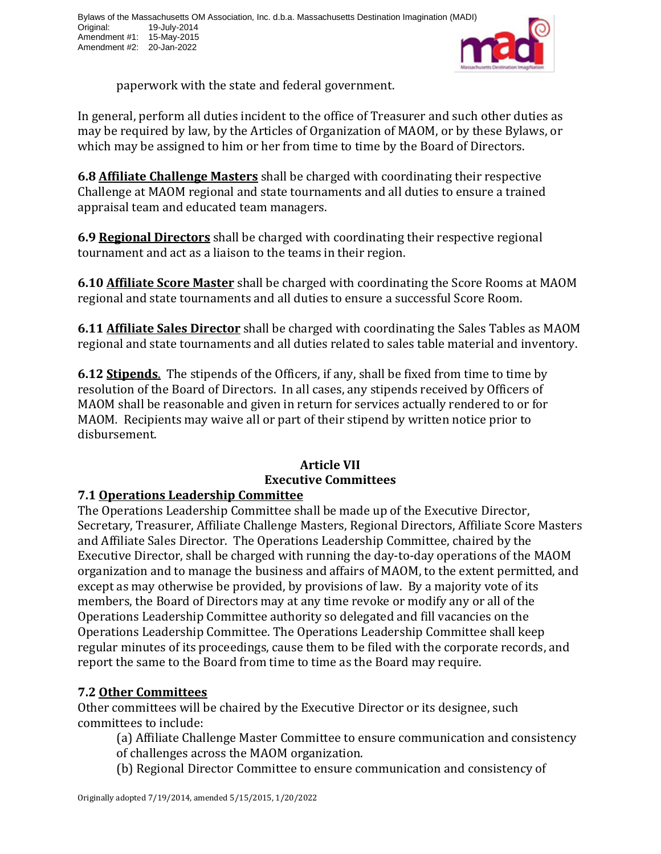

paperwork with the state and federal government.

In general, perform all duties incident to the office of Treasurer and such other duties as may be required by law, by the Articles of Organization of MAOM, or by these Bylaws, or which may be assigned to him or her from time to time by the Board of Directors.

**6.8 Affiliate Challenge Masters** shall be charged with coordinating their respective Challenge at MAOM regional and state tournaments and all duties to ensure a trained appraisal team and educated team managers.

**6.9 Regional Directors** shall be charged with coordinating their respective regional tournament and act as a liaison to the teams in their region.

**6.10 Affiliate Score Master** shall be charged with coordinating the Score Rooms at MAOM regional and state tournaments and all duties to ensure a successful Score Room.

**6.11 Affiliate Sales Director** shall be charged with coordinating the Sales Tables as MAOM regional and state tournaments and all duties related to sales table material and inventory.

**6.12 Stipends**. The stipends of the Officers, if any, shall be fixed from time to time by resolution of the Board of Directors. In all cases, any stipends received by Officers of MAOM shall be reasonable and given in return for services actually rendered to or for MAOM*.* Recipients may waive all or part of their stipend by written notice prior to disbursement.

# **Article VII Executive Committees**

# **7.1 Operations Leadership Committee**

The Operations Leadership Committee shall be made up of the Executive Director, Secretary, Treasurer, Affiliate Challenge Masters, Regional Directors, Affiliate Score Masters and Affiliate Sales Director. The Operations Leadership Committee, chaired by the Executive Director, shall be charged with running the day-to-day operations of the MAOM organization and to manage the business and affairs of MAOM, to the extent permitted, and except as may otherwise be provided, by provisions of law. By a majority vote of its members, the Board of Directors may at any time revoke or modify any or all of the Operations Leadership Committee authority so delegated and fill vacancies on the Operations Leadership Committee. The Operations Leadership Committee shall keep regular minutes of its proceedings, cause them to be filed with the corporate records, and report the same to the Board from time to time as the Board may require.

# **7.2 Other Committees**

Other committees will be chaired by the Executive Director or its designee, such committees to include:

(a) Affiliate Challenge Master Committee to ensure communication and consistency of challenges across the MAOM organization.

(b) Regional Director Committee to ensure communication and consistency of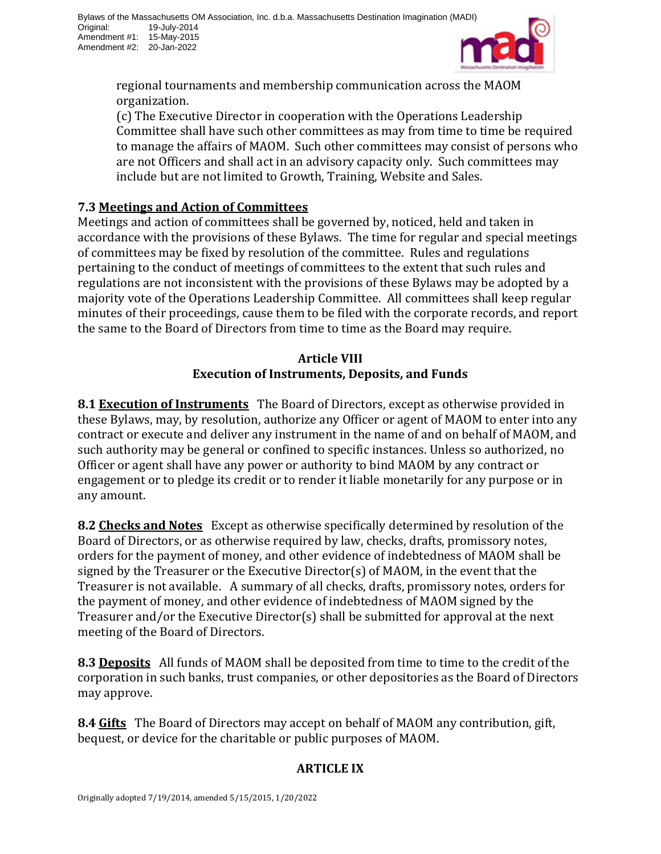

regional tournaments and membership communication across the MAOM organization.

(c) The Executive Director in cooperation with the Operations Leadership Committee shall have such other committees as may from time to time be required to manage the affairs of MAOM. Such other committees may consist of persons who are not Officers and shall act in an advisory capacity only. Such committees may include but are not limited to Growth, Training, Website and Sales.

# **7.3 Meetings and Action of Committees**

Meetings and action of committees shall be governed by, noticed, held and taken in accordance with the provisions of these Bylaws. The time for regular and special meetings of committees may be fixed by resolution of the committee. Rules and regulations pertaining to the conduct of meetings of committees to the extent that such rules and regulations are not inconsistent with the provisions of these Bylaws may be adopted by a majority vote of the Operations Leadership Committee. All committees shall keep regular minutes of their proceedings, cause them to be filed with the corporate records, and report the same to the Board of Directors from time to time as the Board may require.

# **Article VIII Execution of Instruments, Deposits, and Funds**

**8.1 Execution of Instruments** The Board of Directors, except as otherwise provided in these Bylaws, may, by resolution, authorize any Officer or agent of MAOM to enter into any contract or execute and deliver any instrument in the name of and on behalf of MAOM, and such authority may be general or confined to specific instances. Unless so authorized, no Officer or agent shall have any power or authority to bind MAOM by any contract or engagement or to pledge its credit or to render it liable monetarily for any purpose or in any amount.

**8.2 Checks and Notes** Except as otherwise specifically determined by resolution of the Board of Directors, or as otherwise required by law, checks, drafts, promissory notes, orders for the payment of money, and other evidence of indebtedness of MAOM shall be signed by the Treasurer or the Executive Director(s) of MAOM, in the event that the Treasurer is not available. A summary of all checks, drafts, promissory notes, orders for the payment of money, and other evidence of indebtedness of MAOM signed by the Treasurer and/or the Executive Director(s) shall be submitted for approval at the next meeting of the Board of Directors.

**8.3 Deposits** All funds of MAOM shall be deposited from time to time to the credit of the corporation in such banks, trust companies, or other depositories as the Board of Directors may approve.

**8.4 Gifts** The Board of Directors may accept on behalf of MAOM any contribution, gift, bequest, or device for the charitable or public purposes of MAOM.

# **ARTICLE IX**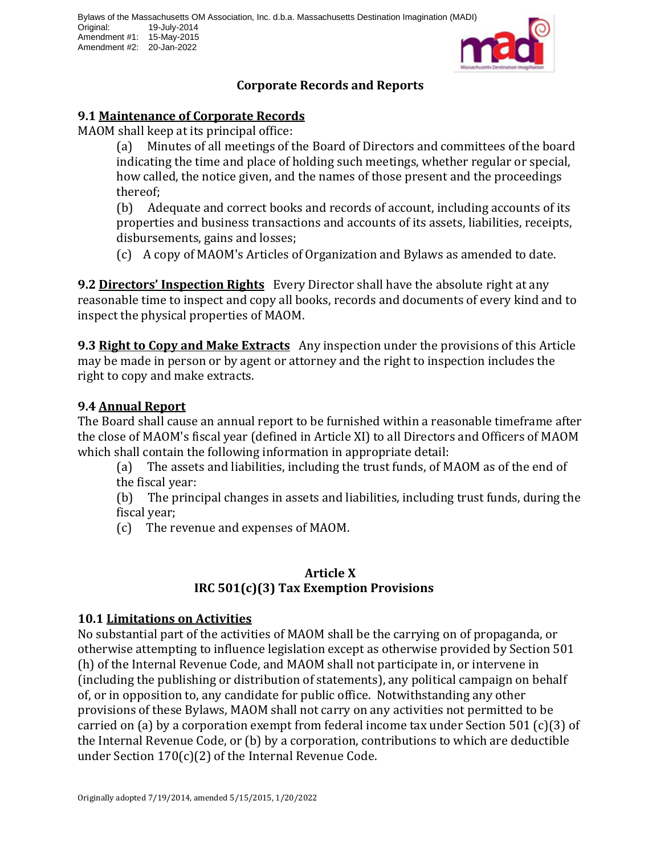

# **Corporate Records and Reports**

# **9.1 Maintenance of Corporate Records**

MAOM shall keep at its principal office:

(a) Minutes of all meetings of the Board of Directors and committees of the board indicating the time and place of holding such meetings, whether regular or special, how called, the notice given, and the names of those present and the proceedings thereof;

(b) Adequate and correct books and records of account, including accounts of its properties and business transactions and accounts of its assets, liabilities, receipts, disbursements, gains and losses;

(c) A copy of MAOM's Articles of Organization and Bylaws as amended to date.

**9.2 Directors' Inspection Rights** Every Director shall have the absolute right at any reasonable time to inspect and copy all books, records and documents of every kind and to inspect the physical properties of MAOM.

**9.3 Right to Copy and Make Extracts** Any inspection under the provisions of this Article may be made in person or by agent or attorney and the right to inspection includes the right to copy and make extracts.

# **9.4 Annual Report**

The Board shall cause an annual report to be furnished within a reasonable timeframe after the close of MAOM's fiscal year (defined in Article XI) to all Directors and Officers of MAOM which shall contain the following information in appropriate detail:

(a) The assets and liabilities, including the trust funds, of MAOM as of the end of the fiscal year:

(b) The principal changes in assets and liabilities, including trust funds, during the fiscal year;

(c) The revenue and expenses of MAOM.

# **Article X IRC 501(c)(3) Tax Exemption Provisions**

## **10.1 Limitations on Activities**

No substantial part of the activities of MAOM shall be the carrying on of propaganda, or otherwise attempting to influence legislation except as otherwise provided by Section 501 (h) of the Internal Revenue Code, and MAOM shall not participate in, or intervene in (including the publishing or distribution of statements), any political campaign on behalf of, or in opposition to, any candidate for public office. Notwithstanding any other provisions of these Bylaws, MAOM shall not carry on any activities not permitted to be carried on (a) by a corporation exempt from federal income tax under Section 501 (c)(3) of the Internal Revenue Code, or (b) by a corporation, contributions to which are deductible under Section 170(c)(2) of the Internal Revenue Code.